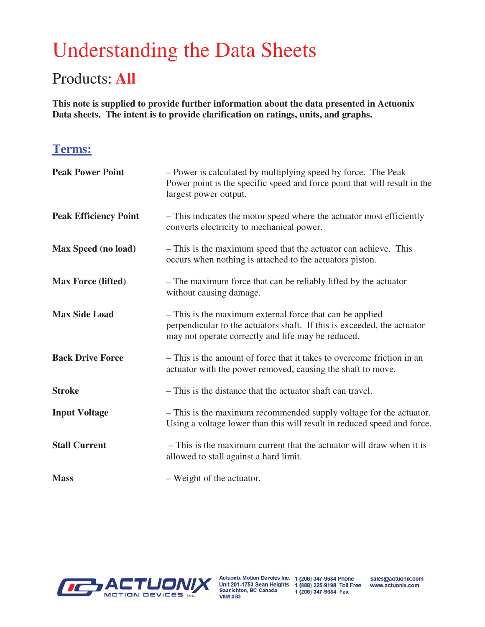# Understanding the Data Sheets

# Products: **All**

**This note is supplied to provide further information about the data presented in Actuonix Data sheets. The intent is to provide clarification on ratings, units, and graphs.**

## **Terms:**

| <b>Peak Power Point</b>      | - Power is calculated by multiplying speed by force. The Peak<br>Power point is the specific speed and force point that will result in the<br>largest power output.                       |
|------------------------------|-------------------------------------------------------------------------------------------------------------------------------------------------------------------------------------------|
| <b>Peak Efficiency Point</b> | - This indicates the motor speed where the actuator most efficiently<br>converts electricity to mechanical power.                                                                         |
| <b>Max Speed (no load)</b>   | - This is the maximum speed that the actuator can achieve. This<br>occurs when nothing is attached to the actuators piston.                                                               |
| <b>Max Force (lifted)</b>    | - The maximum force that can be reliably lifted by the actuator<br>without causing damage.                                                                                                |
| <b>Max Side Load</b>         | - This is the maximum external force that can be applied<br>perpendicular to the actuators shaft. If this is exceeded, the actuator<br>may not operate correctly and life may be reduced. |
| <b>Back Drive Force</b>      | - This is the amount of force that it takes to overcome friction in an<br>actuator with the power removed, causing the shaft to move.                                                     |
| <b>Stroke</b>                | - This is the distance that the actuator shaft can travel.                                                                                                                                |
| <b>Input Voltage</b>         | - This is the maximum recommended supply voltage for the actuator.<br>Using a voltage lower than this will result in reduced speed and force.                                             |
| <b>Stall Current</b>         | - This is the maximum current that the actuator will draw when it is<br>allowed to stall against a hard limit.                                                                            |
| <b>Mass</b>                  | - Weight of the actuator.                                                                                                                                                                 |



Actuonix Motion Devcies Inc. 1 (206) 347-9684 Phone **V8M 0B3** 

Unit 201-1753 Sean Heights 1 (888) 225-9198 Toll Free<br>Saanichton, BC Canada 1 (206) 347-9684 Fax 1 (206) 347-9684 Fax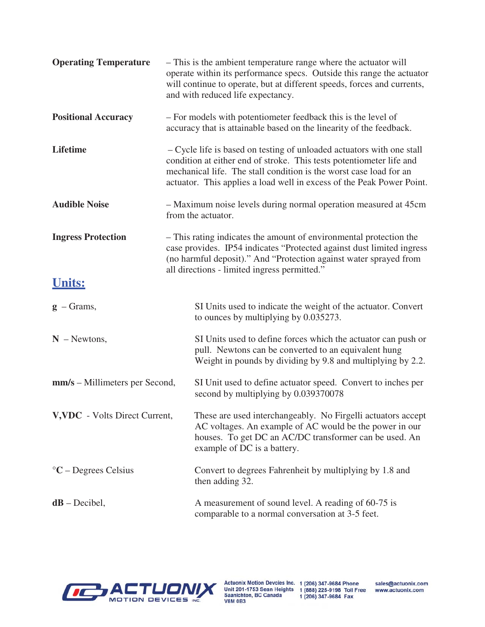| <b>Operating Temperature</b>   | - This is the ambient temperature range where the actuator will<br>operate within its performance specs. Outside this range the actuator<br>will continue to operate, but at different speeds, forces and currents,<br>and with reduced life expectancy.                                     |
|--------------------------------|----------------------------------------------------------------------------------------------------------------------------------------------------------------------------------------------------------------------------------------------------------------------------------------------|
| <b>Positional Accuracy</b>     | - For models with potentiometer feedback this is the level of<br>accuracy that is attainable based on the linearity of the feedback.                                                                                                                                                         |
| <b>Lifetime</b>                | - Cycle life is based on testing of unloaded actuators with one stall<br>condition at either end of stroke. This tests potentiometer life and<br>mechanical life. The stall condition is the worst case load for an<br>actuator. This applies a load well in excess of the Peak Power Point. |
| <b>Audible Noise</b>           | - Maximum noise levels during normal operation measured at 45cm<br>from the actuator.                                                                                                                                                                                                        |
| <b>Ingress Protection</b>      | - This rating indicates the amount of environmental protection the<br>case provides. IP54 indicates "Protected against dust limited ingress<br>(no harmful deposit)." And "Protection against water sprayed from<br>all directions - limited ingress permitted."                             |
| <b>Units:</b>                  |                                                                                                                                                                                                                                                                                              |
| $g$ – Grams,                   | SI Units used to indicate the weight of the actuator. Convert<br>to ounces by multiplying by 0.035273.                                                                                                                                                                                       |
| $N$ – Newtons,                 | SI Units used to define forces which the actuator can push or<br>pull. Newtons can be converted to an equivalent hung<br>Weight in pounds by dividing by 9.8 and multiplying by 2.2.                                                                                                         |
| mm/s – Millimeters per Second, | SI Unit used to define actuator speed. Convert to inches per<br>second by multiplying by 0.039370078                                                                                                                                                                                         |
| V, VDC - Volts Direct Current, | These are used interchangeably. No Firgelli actuators accept<br>AC voltages. An example of AC would be the power in our<br>houses. To get DC an AC/DC transformer can be used. An<br>example of DC is a battery.                                                                             |
| $\mathrm{C}-$ Degrees Celsius  | Convert to degrees Fahrenheit by multiplying by 1.8 and<br>then adding 32.                                                                                                                                                                                                                   |
| $dB$ – Decibel,                | A measurement of sound level. A reading of 60-75 is<br>comparable to a normal conversation at 3-5 feet.                                                                                                                                                                                      |



Actuonix Motion Devcies Inc. 1 (206) 347-9684 Phone<br>Unit 201-1753 Sean Heights 1 (888) 225-9198 Toll Free<br>Saanichton, BC Canada 1 (206) 347-9684 Fax<br>V8M 0B3

sales@actuonix.com www.actuonix.com